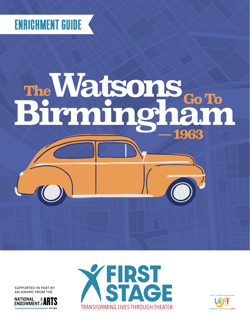## **ENRICHMENT GUIDE**

# The Watsons Go To<br>**am** 1963

SUPPORTED IN PART BY AN AWARD FROM THE





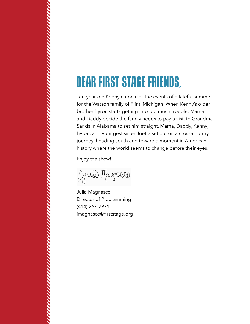## **DEAR FIRST STAGE FRIENDS,**

Ten-year-old Kenny chronicles the events of a fateful summer for the Watson family of Flint, Michigan. When Kenny's older brother Byron starts getting into too much trouble, Mama and Daddy decide the family needs to pay a visit to Grandma Sands in Alabama to set him straight. Mama, Daddy, Kenny, Byron, and youngest sister Joetta set out on a cross-country journey, heading south and toward a moment in American history where the world seems to change before their eyes.

Enjoy the show!

Julia Magrasco

Julia Magnasco Director of Programming (414) 267-2971 jmagnasco@firststage.org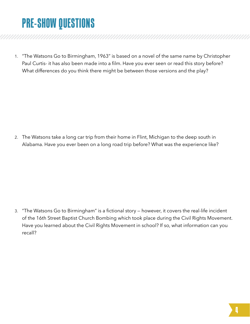### **PRE-SHOW QUESTIONS**

1. "The Watsons Go to Birmingham, 1963" is based on a novel of the same name by Christopher Paul Curtis- it has also been made into a film. Have you ever seen or read this story before? What differences do you think there might be between those versions and the play?

2. The Watsons take a long car trip from their home in Flint, Michigan to the deep south in Alabama. Have you ever been on a long road trip before? What was the experience like?

3. "The Watsons Go to Birmingham" is a fictional story — however, it covers the real-life incident of the 16th Street Baptist Church Bombing which took place during the Civil Rights Movement. Have you learned about the Civil Rights Movement in school? If so, what information can you recall?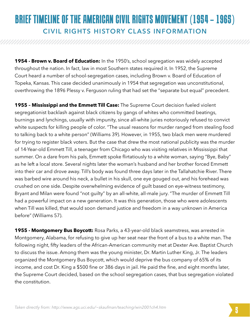**1954 - Brown v. Board of Education:** In the 1950's, school segregation was widely accepted throughout the nation. In fact, law in most Southern states required it. In 1952, the Supreme Court heard a number of school-segregation cases, including Brown v. Board of Education of Topeka, Kansas. This case decided unanimously in 1954 that segregation was unconstitutional, overthrowing the 1896 Plessy v. Ferguson ruling that had set the "separate but equal" precedent.

**1955 – Mississippi and the Emmett Till Case:** The Supreme Court decision fueled violent segregationist backlash against black citizens by gangs of whites who committed beatings, burnings and lynchings, usually with impunity, since all-white juries notoriously refused to convict white suspects for killing people of color. "The usual reasons for murder ranged from stealing food to talking back to a white person" (Williams 39). However, in 1955, two black men were murdered for trying to register black voters. But the case that drew the most national publicity was the murder of 14-Year-old Emmett Till, a teenager from Chicago who was visiting relatives in Mississippi that summer. On a dare from his pals, Emmett spoke flirtatiously to a white woman, saying "Bye, Baby" as he left a local store. Several nights later the woman's husband and her brother forced Emmett into their car and drove away. Till's body was found three days later in the Tallahatchie River. There was barbed wire around his neck, a bullet in his skull, one eye gouged out, and his forehead was crushed on one side. Despite overwhelming evidence of guilt based on eye-witness testimony, Bryant and Milan were found "not guilty" by an all-white, all-male jury. "The murder of Emmett Till had a powerful impact on a new generation. It was this generation, those who were adolescents when Till was killed, that would soon demand justice and freedom in a way unknown in America before" (Williams 57).

**1955 - Montgomery Bus Boycott:** Rosa Parks, a 43-year-old black seamstress, was arrested in Montgomery, Alabama, for refusing to give up her seat near the front of a bus to a white man. The following night, fifty leaders of the African-American community met at Dexter Ave. Baptist Church to discuss the issue. Among them was the young minister, Dr. Martin Luther King, Jr. The leaders organized the Montgomery Bus Boycott, which would deprive the bus company of 65% of its income, and cost Dr. King a \$500 fine or 386 days in jail. He paid the fine, and eight months later, the Supreme Court decided, based on the school segregation cases, that bus segregation violated the constitution.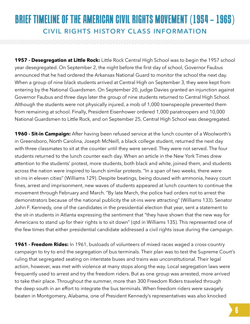**1957 - Desegregation at Little Rock:** Little Rock Central High School was to begin the 1957 school year desegregated. On September 2, the night before the first day of school, Governor Faubus announced that he had ordered the Arkansas National Guard to monitor the school the next day. When a group of nine black students arrived at Central High on September 3, they were kept from entering by the National Guardsmen. On September 20, judge Davies granted an injunction against Governor Faubus and three days later the group of nine students returned to Central High School. Although the students were not physically injured, a mob of 1,000 townspeople prevented them from remaining at school. Finally, President Eisenhower ordered 1,000 paratroopers and 10,000 National Guardsmen to Little Rock, and on September 25, Central High School was desegregated.

**1960 - Sit-in Campaign:** After having been refused service at the lunch counter of a Woolworth's in Greensboro, North Carolina, Joseph McNeill, a black college student, returned the next day with three classmates to sit at the counter until they were served. They were not served. The four students returned to the lunch counter each day. When an article in the New York Times drew attention to the students' protest, more students, both black and white, joined them, and students across the nation were inspired to launch similar protests. "In a span of two weeks, there were sit-ins in eleven cities" (Williams 129). Despite beatings, being doused with ammonia, heavy court fines, arrest and imprisonment, new waves of students appeared at lunch counters to continue the movement through February and March. "By late March, the police had orders not to arrest the demonstrators because of the national publicity the sit-ins were attracting" (Williams 133). Senator John F. Kennedy, one of the candidates in the presidential election that year, sent a statement to the sit-in students in Atlanta expressing the sentiment that "they have shown that the new way for Americans to stand up for their rights is to sit down" (qtd in Williams 135). This represented one of the few times that either presidential candidate addressed a civil rights issue during the campaign.

**1961 - Freedom Rides:** In 1961, busloads of volunteers of mixed races waged a cross-country campaign to try to end the segregation of bus terminals. Their plan was to test the Supreme Court's ruling that segregated seating on interstate buses and trains was unconstitutional. Their legal action, however, was met with violence at many stops along the way. Local segregation laws were frequently used to arrest and try the freedom riders. But as one group was arrested, more arrived to take their place. Throughout the summer, more than 300 Freedom Riders traveled through the deep south in an effort to integrate the bus terminals. When freedom riders were savagely beaten in Montgomery, Alabama, one of President Kennedy's representatives was also knocked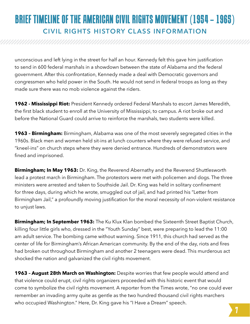unconscious and left lying in the street for half an hour. Kennedy felt this gave him justification to send in 600 federal marshals in a showdown between the state of Alabama and the federal government. After this confrontation, Kennedy made a deal with Democratic governors and congressmen who held power in the South. He would not send in federal troops as long as they made sure there was no mob violence against the riders.

**1962 - Mississippi Riot:** President Kennedy ordered Federal Marshals to escort James Meredith, the first black student to enroll at the University of Mississippi, to campus. A riot broke out and before the National Guard could arrive to reinforce the marshals, two students were killed.

**1963 – Birmingham:** Birmingham, Alabama was one of the most severely segregated cities in the 1960s. Black men and women held sit-ins at lunch counters where they were refused service, and "kneel-ins" on church steps where they were denied entrance. Hundreds of demonstrators were fined and imprisoned.

**Birmingham; In May 1963:** Dr. King, the Reverend Abernathy and the Reverend Shuttlesworth lead a protest march in Birmingham. The protestors were met with policemen and dogs. The three ministers were arrested and taken to Southside Jail. Dr. King was held in solitary confinement for three days, during which he wrote, smuggled out of jail, and had printed his "Letter from Birmingham Jail," a profoundly moving justification for the moral necessity of non-violent resistance to unjust laws.

**Birmingham; In September 1963:** The Ku Klux Klan bombed the Sixteenth Street Baptist Church, killing four little girls who, dressed in the "Youth Sunday" best, were preparing to lead the 11:00 am adult service. The bombing came without warning. Since 1911, this church had served as the center of life for Birmingham's African American community. By the end of the day, riots and fires had broken out throughout Birmingham and another 2 teenagers were dead. This murderous act shocked the nation and galvanized the civil rights movement.

**1963 – August 28th March on Washington:** Despite worries that few people would attend and that violence could erupt, civil rights organizers proceeded with this historic event that would come to symbolize the civil rights movement. A reporter from the Times wrote, "no one could ever remember an invading army quite as gentle as the two hundred thousand civil rights marchers who occupied Washington." Here, Dr. King gave his "I Have a Dream" speech.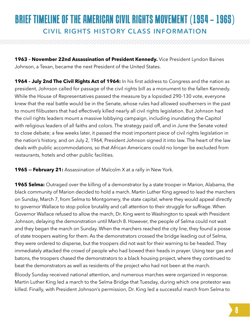**1963 – November 22nd Assassination of President Kennedy.** Vice President Lyndon Baines Johnson, a Texan, became the next President of the United States.

**1964 – July 2nd The Civil Rights Act of 1964:** In his first address to Congress and the nation as president, Johnson called for passage of the civil rights bill as a monument to the fallen Kennedy. While the House of Representatives passed the measure by a lopsided 290-130 vote, everyone knew that the real battle would be in the Senate, whose rules had allowed southerners in the past to mount filibusters that had effectively killed nearly all civil rights legislation. But Johnson had the civil rights leaders mount a massive lobbying campaign, including inundating the Capitol with religious leaders of all faiths and colors. The strategy paid off, and in June the Senate voted to close debate; a few weeks later, it passed the most important piece of civil rights legislation in the nation's history, and on July 2, 1964, President Johnson signed it into law. The heart of the law deals with public accommodations, so that African Americans could no longer be excluded from restaurants, hotels and other public facilities.

**1965 -- February 21:** Assassination of Malcolm X at a rally in New York.

**1965 Selma:** Outraged over the killing of a demonstrator by a state trooper in Marion, Alabama, the black community of Marion decided to hold a march. Martin Luther King agreed to lead the marchers on Sunday, March 7, from Selma to Montgomery, the state capital, where they would appeal directly to governor Wallace to stop police brutality and call attention to their struggle for suffrage. When Governor Wallace refused to allow the march, Dr. King went to Washington to speak with President Johnson, delaying the demonstration until March 8. However, the people of Selma could not wait and they began the march on Sunday. When the marchers reached the city line, they found a posse of state troopers waiting for them. As the demonstrators crossed the bridge leading out of Selma, they were ordered to disperse, but the troopers did not wait for their warning to be headed. They immediately attacked the crowd of people who had bowed their heads in prayer. Using tear gas and batons, the troopers chased the demonstrators to a black housing project, where they continued to beat the demonstrators as well as residents of the project who had not been at the march.

Bloody Sunday received national attention, and numerous marches were organized in response. Martin Luther King led a march to the Selma Bridge that Tuesday, during which one protestor was killed. Finally, with President Johnson's permission, Dr. King led a successful march from Selma to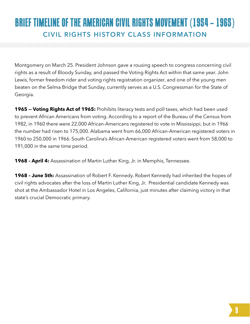Montgomery on March 25. President Johnson gave a rousing speech to congress concerning civil rights as a result of Bloody Sunday, and passed the Voting Rights Act within that same year. John Lewis, former freedom rider and voting rights registration organizer, and one of the young men beaten on the Selma Bridge that Sunday, currently serves as a U.S. Congressman for the State of Georgia.

**1965 -- Voting Rights Act of 1965:** Prohibits literacy tests and poll taxes, which had been used to prevent African Americans from voting. According to a report of the Bureau of the Census from 1982, in 1960 there were 22,000 African-Americans registered to vote in Mississippi, but in 1966 the number had risen to 175,000. Alabama went from 66,000 African-American registered voters in 1960 to 250,000 in 1966. South Carolina's African-American registered voters went from 58,000 to 191,000 in the same time period.

**1968 – April 4:** Assassination of Martin Luther King, Jr. in Memphis, Tennessee.

**1968 – June 5th:** Assassination of Robert F. Kennedy. Robert Kennedy had inherited the hopes of civil rights advocates after the loss of Martin Luther King, Jr. Presidential candidate Kennedy was shot at the Ambassador Hotel in Los Angeles, California, just minutes after claiming victory in that state's crucial Democratic primary.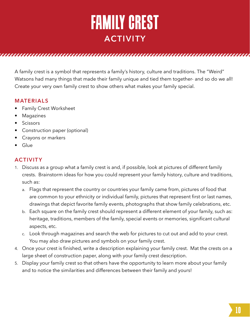### **FAMILY CREST ACTIVITY**

A family crest is a symbol that represents a family's history, culture and traditions. The "Weird" Watsons had many things that made their family unique and tied them together- and so do we all! Create your very own family crest to show others what makes your family special.

#### **MATERIALS**

- Family Crest Worksheet
- **Magazines**
- **Scissors**
- Construction paper (optional)
- Crayons or markers
- Glue

#### **ACTIVITY**

- 1. Discuss as a group what a family crest is and, if possible, look at pictures of different family crests. Brainstorm ideas for how you could represent your family history, culture and traditions, such as:
	- a. Flags that represent the country or countries your family came from, pictures of food that are common to your ethnicity or individual family, pictures that represent first or last names, drawings that depict favorite family events, photographs that show family celebrations, etc.
	- b. Each square on the family crest should represent a different element of your family, such as: heritage, traditions, members of the family, special events or memories, significant cultural aspects, etc.
	- c. Look through magazines and search the web for pictures to cut out and add to your crest. You may also draw pictures and symbols on your family crest.
- 4. Once your crest is finished, write a description explaining your family crest. Mat the crests on a large sheet of construction paper, along with your family crest description.
- 5. Display your family crest so that others have the opportunity to learn more about your family and to notice the similarities and differences between their family and yours!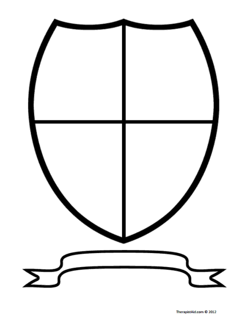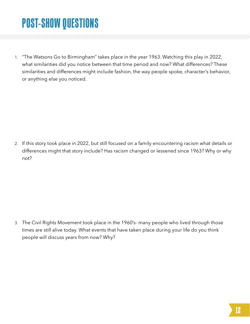### **POST-SHOW QUESTIONS**

1. "The Watsons Go to Birmingham" takes place in the year 1963. Watching this play in 2022, what similarities did you notice between that time period and now? What differences? These similarities and differences might include fashion, the way people spoke, character's behavior, or anything else you noticed.

2. If this story took place in 2022, but still focused on a family encountering racism what details or differences might that story include? Has racism changed or lessened since 1963? Why or why not?

3. The Civil Rights Movement took place in the 1960's- many people who lived through those times are still alive today. What events that have taken place during your life do you think people will discuss years from now? Why?